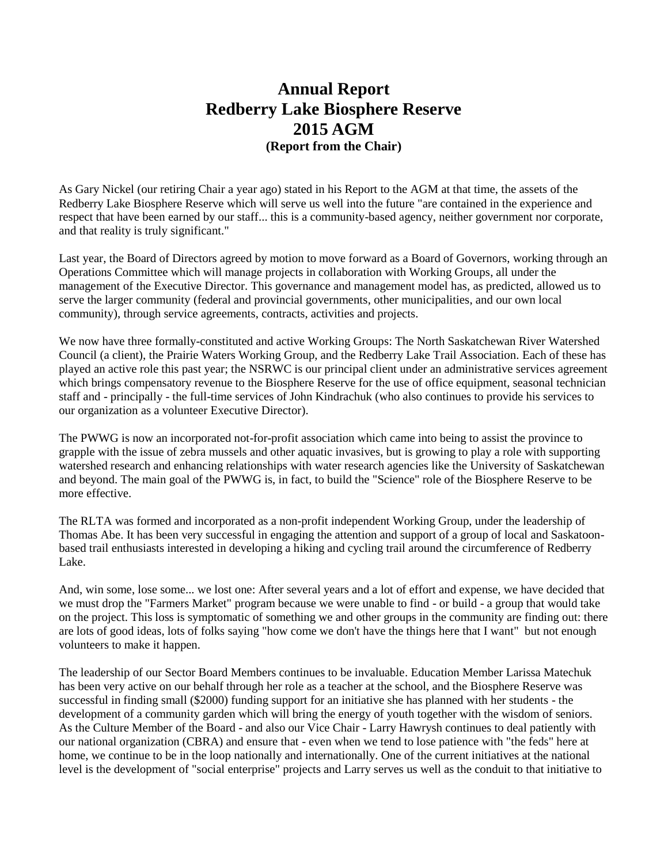## **Annual Report Redberry Lake Biosphere Reserve 2015 AGM (Report from the Chair)**

As Gary Nickel (our retiring Chair a year ago) stated in his Report to the AGM at that time, the assets of the Redberry Lake Biosphere Reserve which will serve us well into the future "are contained in the experience and respect that have been earned by our staff... this is a community-based agency, neither government nor corporate, and that reality is truly significant."

Last year, the Board of Directors agreed by motion to move forward as a Board of Governors, working through an Operations Committee which will manage projects in collaboration with Working Groups, all under the management of the Executive Director. This governance and management model has, as predicted, allowed us to serve the larger community (federal and provincial governments, other municipalities, and our own local community), through service agreements, contracts, activities and projects.

We now have three formally-constituted and active Working Groups: The North Saskatchewan River Watershed Council (a client), the Prairie Waters Working Group, and the Redberry Lake Trail Association. Each of these has played an active role this past year; the NSRWC is our principal client under an administrative services agreement which brings compensatory revenue to the Biosphere Reserve for the use of office equipment, seasonal technician staff and - principally - the full-time services of John Kindrachuk (who also continues to provide his services to our organization as a volunteer Executive Director).

The PWWG is now an incorporated not-for-profit association which came into being to assist the province to grapple with the issue of zebra mussels and other aquatic invasives, but is growing to play a role with supporting watershed research and enhancing relationships with water research agencies like the University of Saskatchewan and beyond. The main goal of the PWWG is, in fact, to build the "Science" role of the Biosphere Reserve to be more effective.

The RLTA was formed and incorporated as a non-profit independent Working Group, under the leadership of Thomas Abe. It has been very successful in engaging the attention and support of a group of local and Saskatoonbased trail enthusiasts interested in developing a hiking and cycling trail around the circumference of Redberry Lake.

And, win some, lose some... we lost one: After several years and a lot of effort and expense, we have decided that we must drop the "Farmers Market" program because we were unable to find - or build - a group that would take on the project. This loss is symptomatic of something we and other groups in the community are finding out: there are lots of good ideas, lots of folks saying "how come we don't have the things here that I want" but not enough volunteers to make it happen.

The leadership of our Sector Board Members continues to be invaluable. Education Member Larissa Matechuk has been very active on our behalf through her role as a teacher at the school, and the Biosphere Reserve was successful in finding small (\$2000) funding support for an initiative she has planned with her students - the development of a community garden which will bring the energy of youth together with the wisdom of seniors. As the Culture Member of the Board - and also our Vice Chair - Larry Hawrysh continues to deal patiently with our national organization (CBRA) and ensure that - even when we tend to lose patience with "the feds" here at home, we continue to be in the loop nationally and internationally. One of the current initiatives at the national level is the development of "social enterprise" projects and Larry serves us well as the conduit to that initiative to